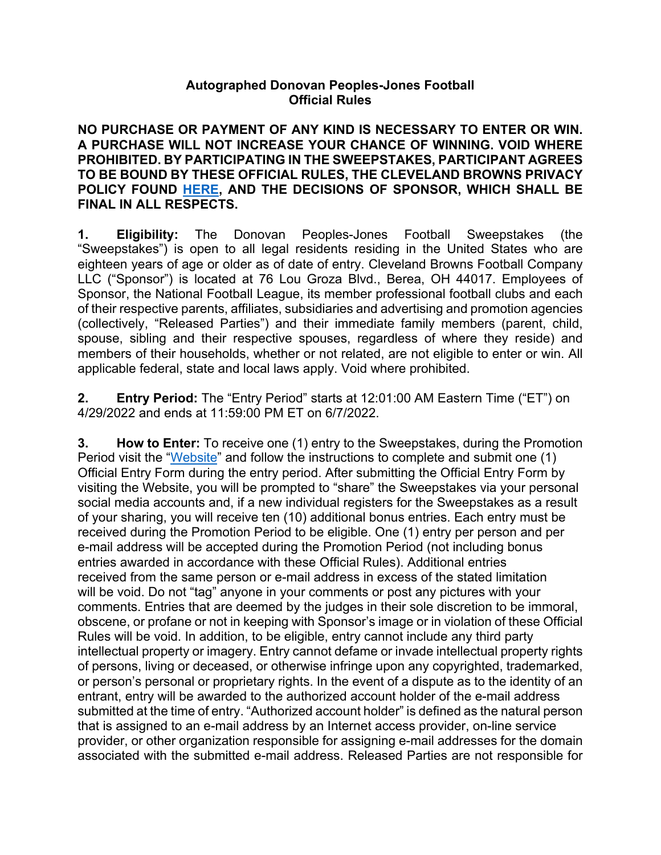## **Autographed Donovan Peoples-Jones Football Official Rules**

**NO PURCHASE OR PAYMENT OF ANY KIND IS NECESSARY TO ENTER OR WIN. A PURCHASE WILL NOT INCREASE YOUR CHANCE OF WINNING. VOID WHERE PROHIBITED. BY PARTICIPATING IN THE SWEEPSTAKES, PARTICIPANT AGREES TO BE BOUND BY THESE OFFICIAL RULES, THE CLEVELAND BROWNS PRIVACY POLICY FOUND HERE, AND THE DECISIONS OF SPONSOR, WHICH SHALL BE FINAL IN ALL RESPECTS.** 

**1. Eligibility:** The Donovan Peoples-Jones Football Sweepstakes (the "Sweepstakes") is open to all legal residents residing in the United States who are eighteen years of age or older as of date of entry. Cleveland Browns Football Company LLC ("Sponsor") is located at 76 Lou Groza Blvd., Berea, OH 44017. Employees of Sponsor, the National Football League, its member professional football clubs and each of their respective parents, affiliates, subsidiaries and advertising and promotion agencies (collectively, "Released Parties") and their immediate family members (parent, child, spouse, sibling and their respective spouses, regardless of where they reside) and members of their households, whether or not related, are not eligible to enter or win. All applicable federal, state and local laws apply. Void where prohibited.

**2. Entry Period:** The "Entry Period" starts at 12:01:00 AM Eastern Time ("ET") on 4/29/2022 and ends at 11:59:00 PM ET on 6/7/2022.

**3. How to Enter:** To receive one (1) entry to the Sweepstakes, during the Promotion Period visit the "Website" and follow the instructions to complete and submit one (1) Official Entry Form during the entry period. After submitting the Official Entry Form by visiting the Website, you will be prompted to "share" the Sweepstakes via your personal social media accounts and, if a new individual registers for the Sweepstakes as a result of your sharing, you will receive ten (10) additional bonus entries. Each entry must be received during the Promotion Period to be eligible. One (1) entry per person and per e-mail address will be accepted during the Promotion Period (not including bonus entries awarded in accordance with these Official Rules). Additional entries received from the same person or e-mail address in excess of the stated limitation will be void. Do not "tag" anyone in your comments or post any pictures with your comments. Entries that are deemed by the judges in their sole discretion to be immoral, obscene, or profane or not in keeping with Sponsor's image or in violation of these Official Rules will be void. In addition, to be eligible, entry cannot include any third party intellectual property or imagery. Entry cannot defame or invade intellectual property rights of persons, living or deceased, or otherwise infringe upon any copyrighted, trademarked, or person's personal or proprietary rights. In the event of a dispute as to the identity of an entrant, entry will be awarded to the authorized account holder of the e-mail address submitted at the time of entry. "Authorized account holder" is defined as the natural person that is assigned to an e-mail address by an Internet access provider, on-line service provider, or other organization responsible for assigning e-mail addresses for the domain associated with the submitted e-mail address. Released Parties are not responsible for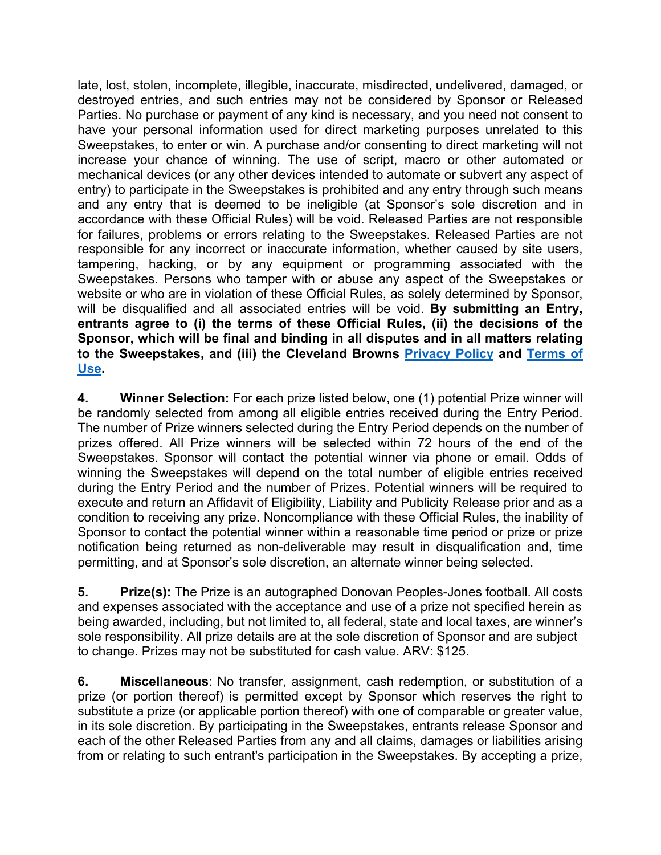late, lost, stolen, incomplete, illegible, inaccurate, misdirected, undelivered, damaged, or destroyed entries, and such entries may not be considered by Sponsor or Released Parties. No purchase or payment of any kind is necessary, and you need not consent to have your personal information used for direct marketing purposes unrelated to this Sweepstakes, to enter or win. A purchase and/or consenting to direct marketing will not increase your chance of winning. The use of script, macro or other automated or mechanical devices (or any other devices intended to automate or subvert any aspect of entry) to participate in the Sweepstakes is prohibited and any entry through such means and any entry that is deemed to be ineligible (at Sponsor's sole discretion and in accordance with these Official Rules) will be void. Released Parties are not responsible for failures, problems or errors relating to the Sweepstakes. Released Parties are not responsible for any incorrect or inaccurate information, whether caused by site users, tampering, hacking, or by any equipment or programming associated with the Sweepstakes. Persons who tamper with or abuse any aspect of the Sweepstakes or website or who are in violation of these Official Rules, as solely determined by Sponsor, will be disqualified and all associated entries will be void. **By submitting an Entry, entrants agree to (i) the terms of these Official Rules, (ii) the decisions of the Sponsor, which will be final and binding in all disputes and in all matters relating to the Sweepstakes, and (iii) the Cleveland Browns Privacy Policy and Terms of Use.** 

**4. Winner Selection:** For each prize listed below, one (1) potential Prize winner will be randomly selected from among all eligible entries received during the Entry Period. The number of Prize winners selected during the Entry Period depends on the number of prizes offered. All Prize winners will be selected within 72 hours of the end of the Sweepstakes. Sponsor will contact the potential winner via phone or email. Odds of winning the Sweepstakes will depend on the total number of eligible entries received during the Entry Period and the number of Prizes. Potential winners will be required to execute and return an Affidavit of Eligibility, Liability and Publicity Release prior and as a condition to receiving any prize. Noncompliance with these Official Rules, the inability of Sponsor to contact the potential winner within a reasonable time period or prize or prize notification being returned as non-deliverable may result in disqualification and, time permitting, and at Sponsor's sole discretion, an alternate winner being selected.

**5. Prize(s):** The Prize is an autographed Donovan Peoples-Jones football. All costs and expenses associated with the acceptance and use of a prize not specified herein as being awarded, including, but not limited to, all federal, state and local taxes, are winner's sole responsibility. All prize details are at the sole discretion of Sponsor and are subject to change. Prizes may not be substituted for cash value. ARV: \$125.

**6. Miscellaneous**: No transfer, assignment, cash redemption, or substitution of a prize (or portion thereof) is permitted except by Sponsor which reserves the right to substitute a prize (or applicable portion thereof) with one of comparable or greater value, in its sole discretion. By participating in the Sweepstakes, entrants release Sponsor and each of the other Released Parties from any and all claims, damages or liabilities arising from or relating to such entrant's participation in the Sweepstakes. By accepting a prize,